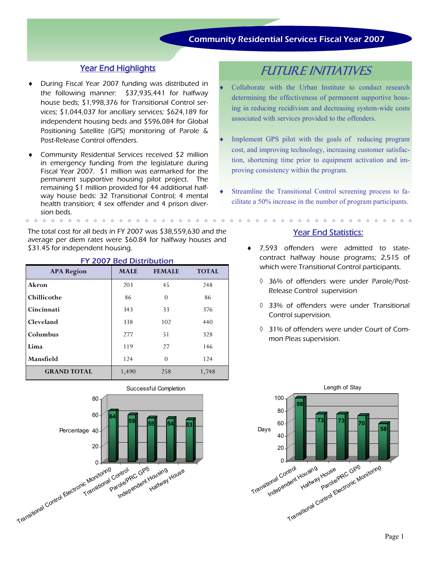## Year End Highlights

- ♦ During Fiscal Year 2007 funding was distributed in the following manner: \$37,935,441 for halfway house beds; \$1,998,376 for Transitional Control services; \$1,044,037 for ancillary services; \$624,189 for independent housing beds and \$596,084 for Global Positioning Satellite (GPS) monitoring of Parole & Post-Release Control offenders.
- Community Residential Services received \$2 million in emergency funding from the legislature during Fiscal Year 2007. \$1 million was earmarked for the permanent supportive housing pilot project. The remaining \$1 million provided for 44 additional halfway house beds: 32 Transitional Control; 4 mental health transition; 4 sex offender and 4 prison diversion beds.

 $\mathbf{A} \mathbf{A} = \mathbf{A} \mathbf{A} + \mathbf{A} \mathbf{A}$ 

The total cost for all beds in FY 2007 was \$38,559,630 and the average per diem rates were \$60.84 for halfway houses and \$31.45 for independent housing.

. . . . . . . . . . .

| <b>FY 2007 Bed Distribution</b> |             |               |              |
|---------------------------------|-------------|---------------|--------------|
| <b>APA</b> Region               | <b>MALE</b> | <b>FEMALE</b> | <b>TOTAL</b> |
| Akron                           | 203         | 45            | 248          |
| Chillicothe                     | 86          | $\Omega$      | 86           |
| Cincinnati                      | 343         | 33            | 376          |
| Cleveland                       | 338         | 102           | 440          |
| Columbus                        | 277         | 51            | 328          |
| Lima                            | 119         | 27            | 146          |
| Mansfield                       | 124         | $\Omega$      | 124          |
| <b>GRAND TOTAL</b>              | 1,490       | 258           | 1,748        |

# 64  $\begin{array}{|c|c|c|c|c|}\hline \multicolumn{1}{|c|}{53} & \multicolumn{1}{|c|}{54} & \multicolumn{1}{|c|}{53} \\ \hline \end{array}$ 0 20 Percentage 40 60 80 Transitional Control Electronic Monitoring Transitional Control ParolelPRC GPS Independent Housing Halfway House Successful Completion

# FUTURE INITIATIVES

- Collaborate with the Urban Institute to conduct research determining the effectiveness of permanent supportive housing in reducing recidivism and decreasing system-wide costs associated with services provided to the offenders.
- Implement GPS pilot with the goals of reducing program cost, and improving technology, increasing customer satisfaction, shortening time prior to equipment activation and improving consistency within the program.
- Streamline the Transitional Control screening process to facilitate a 50% increase in the number of program participants.

## **Year End Statistics:**

- 7,593 offenders were admitted to statecontract halfway house programs; 2,515 of which were Transitional Control participants.
	- ◊ 36% of offenders were under Parole/Post-Release Control supervision
	- ◊ 33% of offenders were under Transitional Control supervision.
	- ◊ 31% of offenders were under Court of Common Pleas supervision.

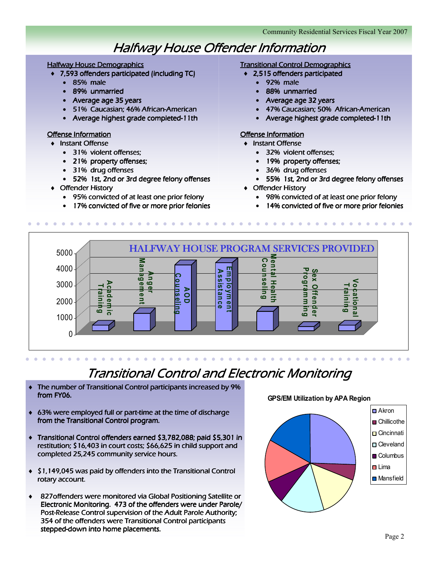# **Halfway House Offender Information**

#### **Halfway House Demographics**

- 7,593 offenders participated (including TC)
	- 85% male
	- 89% unmarried
	- Average age 35 years
	- 51% Caucasian; 46% African-American
	- Average highest grade completed-11th

### **Offense Information**

- $\bullet$  Instant Offense
	- 31% violent offenses:
	- 21% property offenses;
	- 31% drug offenses
	- 52% 1st, 2nd or 3rd degree felony offenses
- Offender History

 $\sim$  $\sim$ 

 $\sim$ 

- 95% convicted of at least one prior felony
- 17% convicted of five or more prior felonies

#### **Transitional Control Demographics**

- 2,515 offenders participated
	- 92% male
	- 88% unmarried
	- Average age 32 years
	- 47% Caucasian; 50% African-American
	- Average highest grade completed-11th

### **Offense Information**

- $\bullet$  Instant Offense
	- 32% violent offenses:
	- 19% property offenses;
	- 36% drug offenses
	- 55% 1st, 2nd or 3rd degree felony offenses
- Offender History
	- 98% convicted of at least one prior felony
	- 14% convicted of five or more prior felonies



# **Transitional Control and Electronic Monitoring**

- The number of Transitional Control participants increased by 9% from FY06.
- ◆ 63% were employed full or part-time at the time of discharge from the Transitional Control program.
- Transitional Control offenders earned \$3,782,088; paid \$5,301 in restitution; \$16,403 in court costs; \$66,625 in child support and completed 25,245 community service hours.
- ♦ \$1,149,045 was paid by offenders into the Transitional Control rotary account.
- 827 offenders were monitored via Global Positioning Satellite or Electronic Monitoring. 473 of the offenders were under Parole/ Post-Release Control supervision of the Adult Parole Authority; 354 of the offenders were Transitional Control participants stepped-down into home placements.

### **GPS/EM Utilization by APA Region**